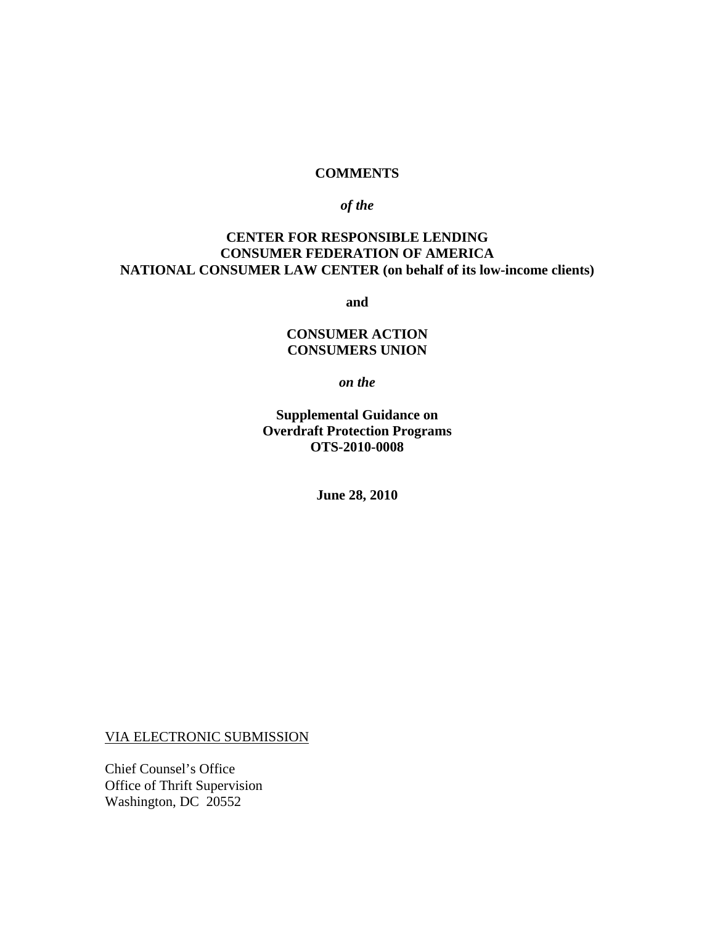#### **COMMENTS**

#### *of the*

## **CENTER FOR RESPONSIBLE LENDING CONSUMER FEDERATION OF AMERICA NATIONAL CONSUMER LAW CENTER (on behalf of its low-income clients)**

**and** 

## **CONSUMER ACTION CONSUMERS UNION**

*on the*

**Supplemental Guidance on Overdraft Protection Programs OTS-2010-0008** 

**June 28, 2010** 

VIA ELECTRONIC SUBMISSION

Chief Counsel's Office Office of Thrift Supervision Washington, DC 20552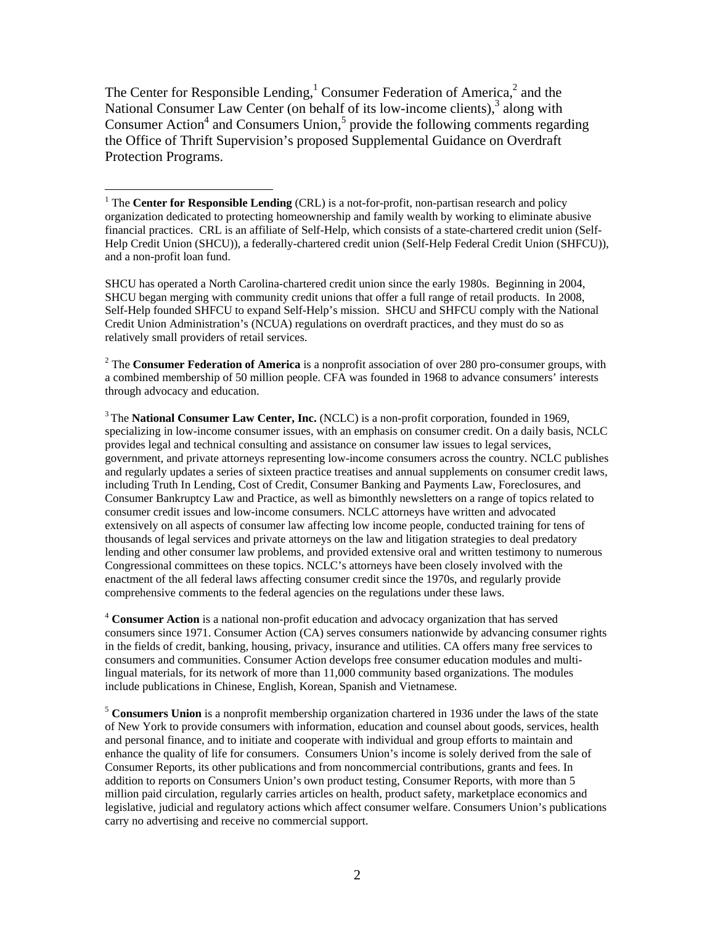The Center for Responsible Lending,<sup>1</sup> Consumer Federation of America,<sup>2</sup> and the National Consumer Law Center (on behalf of its low-income clients),<sup>3</sup> along with Consumer Action<sup>4</sup> and Consumers Union,<sup>5</sup> provide the following comments regarding the Office of Thrift Supervision's proposed Supplemental Guidance on Overdraft Protection Programs.

<u>.</u>

SHCU has operated a North Carolina-chartered credit union since the early 1980s. Beginning in 2004, SHCU began merging with community credit unions that offer a full range of retail products. In 2008, Self-Help founded SHFCU to expand Self-Help's mission. SHCU and SHFCU comply with the National Credit Union Administration's (NCUA) regulations on overdraft practices, and they must do so as relatively small providers of retail services.

2 The **Consumer Federation of America** is a nonprofit association of over 280 pro-consumer groups, with a combined membership of 50 million people. CFA was founded in 1968 to advance consumers' interests through advocacy and education.

3 The **National Consumer Law Center, Inc.** (NCLC) is a non-profit corporation, founded in 1969, specializing in low-income consumer issues, with an emphasis on consumer credit. On a daily basis, NCLC provides legal and technical consulting and assistance on consumer law issues to legal services, government, and private attorneys representing low-income consumers across the country. NCLC publishes and regularly updates a series of sixteen practice treatises and annual supplements on consumer credit laws, including Truth In Lending, Cost of Credit, Consumer Banking and Payments Law, Foreclosures, and Consumer Bankruptcy Law and Practice, as well as bimonthly newsletters on a range of topics related to consumer credit issues and low-income consumers. NCLC attorneys have written and advocated extensively on all aspects of consumer law affecting low income people, conducted training for tens of thousands of legal services and private attorneys on the law and litigation strategies to deal predatory lending and other consumer law problems, and provided extensive oral and written testimony to numerous Congressional committees on these topics. NCLC's attorneys have been closely involved with the enactment of the all federal laws affecting consumer credit since the 1970s, and regularly provide comprehensive comments to the federal agencies on the regulations under these laws.

<sup>4</sup> **Consumer Action** is a national non-profit education and advocacy organization that has served consumers since 1971. Consumer Action (CA) serves consumers nationwide by advancing consumer rights in the fields of credit, banking, housing, privacy, insurance and utilities. CA offers many free services to consumers and communities. Consumer Action develops free consumer education modules and multilingual materials, for its network of more than 11,000 community based organizations. The modules include publications in Chinese, English, Korean, Spanish and Vietnamese.

<sup>5</sup> **Consumers Union** is a nonprofit membership organization chartered in 1936 under the laws of the state of New York to provide consumers with information, education and counsel about goods, services, health and personal finance, and to initiate and cooperate with individual and group efforts to maintain and enhance the quality of life for consumers. Consumers Union's income is solely derived from the sale of Consumer Reports, its other publications and from noncommercial contributions, grants and fees. In addition to reports on Consumers Union's own product testing, Consumer Reports, with more than 5 million paid circulation, regularly carries articles on health, product safety, marketplace economics and legislative, judicial and regulatory actions which affect consumer welfare. Consumers Union's publications carry no advertising and receive no commercial support.

<sup>&</sup>lt;sup>1</sup> The **Center for Responsible Lending** (CRL) is a not-for-profit, non-partisan research and policy organization dedicated to protecting homeownership and family wealth by working to eliminate abusive financial practices. CRL is an affiliate of Self-Help, which consists of a state-chartered credit union (Self-Help Credit Union (SHCU)), a federally-chartered credit union (Self-Help Federal Credit Union (SHFCU)), and a non-profit loan fund.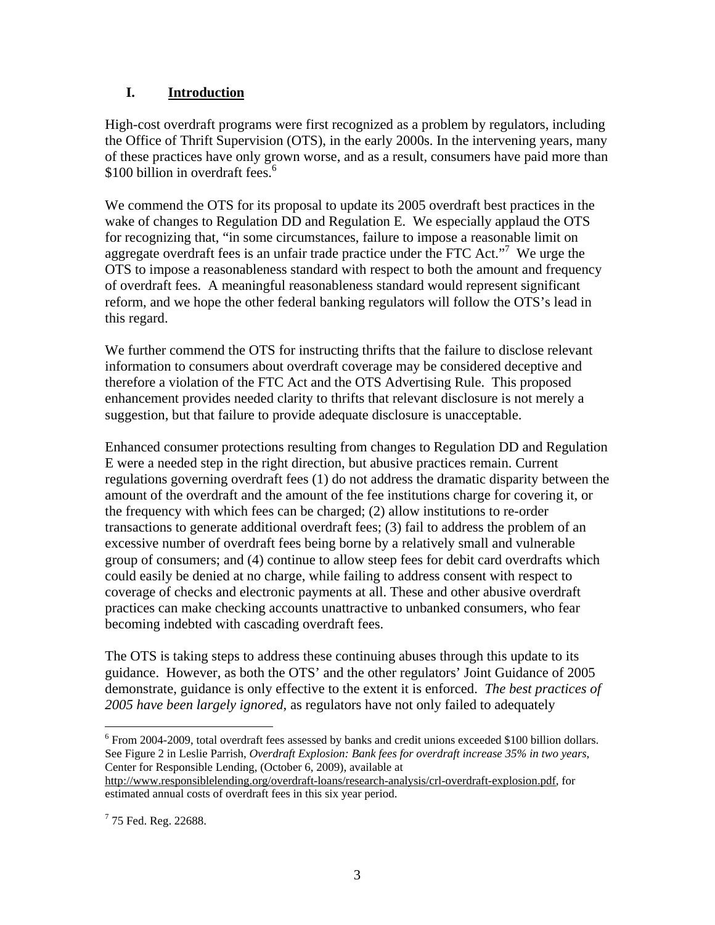# **I. Introduction**

High-cost overdraft programs were first recognized as a problem by regulators, including the Office of Thrift Supervision (OTS), in the early 2000s. In the intervening years, many of these practices have only grown worse, and as a result, consumers have paid more than \$100 billion in overdraft fees.<sup>6</sup>

We commend the OTS for its proposal to update its 2005 overdraft best practices in the wake of changes to Regulation DD and Regulation E. We especially applaud the OTS for recognizing that, "in some circumstances, failure to impose a reasonable limit on aggregate overdraft fees is an unfair trade practice under the FTC Act."<sup>7</sup> We urge the OTS to impose a reasonableness standard with respect to both the amount and frequency of overdraft fees. A meaningful reasonableness standard would represent significant reform, and we hope the other federal banking regulators will follow the OTS's lead in this regard.

We further commend the OTS for instructing thrifts that the failure to disclose relevant information to consumers about overdraft coverage may be considered deceptive and therefore a violation of the FTC Act and the OTS Advertising Rule. This proposed enhancement provides needed clarity to thrifts that relevant disclosure is not merely a suggestion, but that failure to provide adequate disclosure is unacceptable.

Enhanced consumer protections resulting from changes to Regulation DD and Regulation E were a needed step in the right direction, but abusive practices remain. Current regulations governing overdraft fees (1) do not address the dramatic disparity between the amount of the overdraft and the amount of the fee institutions charge for covering it, or the frequency with which fees can be charged; (2) allow institutions to re-order transactions to generate additional overdraft fees; (3) fail to address the problem of an excessive number of overdraft fees being borne by a relatively small and vulnerable group of consumers; and (4) continue to allow steep fees for debit card overdrafts which could easily be denied at no charge, while failing to address consent with respect to coverage of checks and electronic payments at all. These and other abusive overdraft practices can make checking accounts unattractive to unbanked consumers, who fear becoming indebted with cascading overdraft fees.

The OTS is taking steps to address these continuing abuses through this update to its guidance. However, as both the OTS' and the other regulators' Joint Guidance of 2005 demonstrate, guidance is only effective to the extent it is enforced. *The best practices of 2005 have been largely ignored*, as regulators have not only failed to adequately

<sup>&</sup>lt;sup>6</sup> From 2004-2009, total overdraft fees assessed by banks and credit unions exceeded \$100 billion dollars. See Figure 2 in Leslie Parrish, *Overdraft Explosion: Bank fees for overdraft increase 35% in two years*, Center for Responsible Lending, (October 6, 2009), available at

http://www.responsiblelending.org/overdraft-loans/research-analysis/crl-overdraft-explosion.pdf, for estimated annual costs of overdraft fees in this six year period.

 $775$  Fed. Reg. 22688.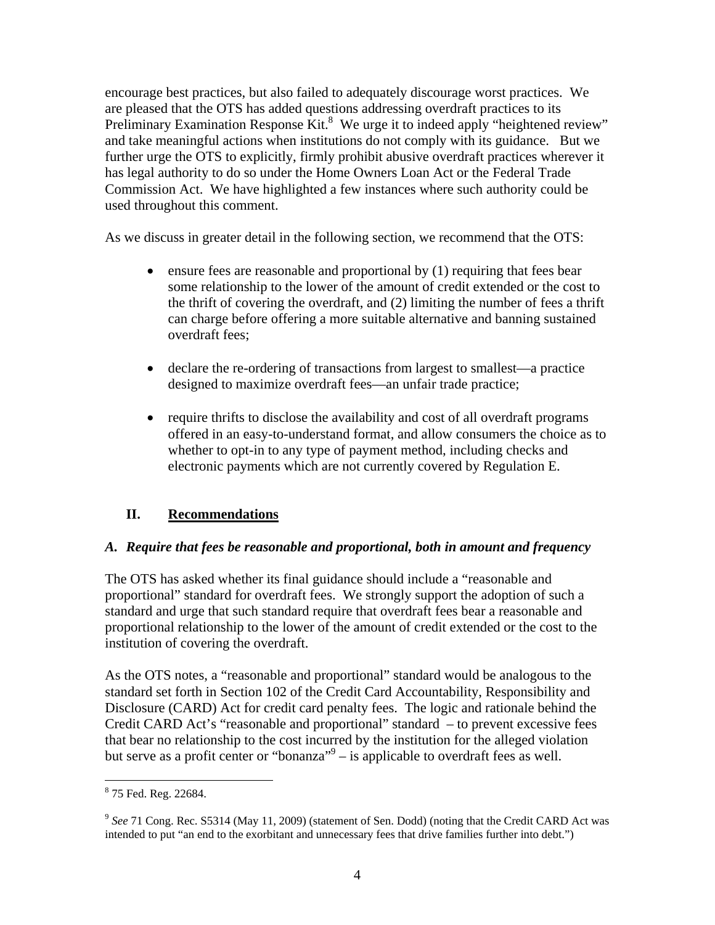encourage best practices, but also failed to adequately discourage worst practices. We are pleased that the OTS has added questions addressing overdraft practices to its Preliminary Examination Response  $\text{Kit.}^8$  We urge it to indeed apply "heightened review" and take meaningful actions when institutions do not comply with its guidance. But we further urge the OTS to explicitly, firmly prohibit abusive overdraft practices wherever it has legal authority to do so under the Home Owners Loan Act or the Federal Trade Commission Act. We have highlighted a few instances where such authority could be used throughout this comment.

As we discuss in greater detail in the following section, we recommend that the OTS:

- ensure fees are reasonable and proportional by (1) requiring that fees bear some relationship to the lower of the amount of credit extended or the cost to the thrift of covering the overdraft, and (2) limiting the number of fees a thrift can charge before offering a more suitable alternative and banning sustained overdraft fees;
- declare the re-ordering of transactions from largest to smallest—a practice designed to maximize overdraft fees—an unfair trade practice;
- require thrifts to disclose the availability and cost of all overdraft programs offered in an easy-to-understand format, and allow consumers the choice as to whether to opt-in to any type of payment method, including checks and electronic payments which are not currently covered by Regulation E.

## **II. Recommendations**

## *A. Require that fees be reasonable and proportional, both in amount and frequency*

The OTS has asked whether its final guidance should include a "reasonable and proportional" standard for overdraft fees. We strongly support the adoption of such a standard and urge that such standard require that overdraft fees bear a reasonable and proportional relationship to the lower of the amount of credit extended or the cost to the institution of covering the overdraft.

As the OTS notes, a "reasonable and proportional" standard would be analogous to the standard set forth in Section 102 of the Credit Card Accountability, Responsibility and Disclosure (CARD) Act for credit card penalty fees. The logic and rationale behind the Credit CARD Act's "reasonable and proportional" standard – to prevent excessive fees that bear no relationship to the cost incurred by the institution for the alleged violation but serve as a profit center or "bonanza" $9 -$  is applicable to overdraft fees as well.

 8 75 Fed. Reg. 22684.

<sup>9</sup> *See* 71 Cong. Rec. S5314 (May 11, 2009) (statement of Sen. Dodd) (noting that the Credit CARD Act was intended to put "an end to the exorbitant and unnecessary fees that drive families further into debt.")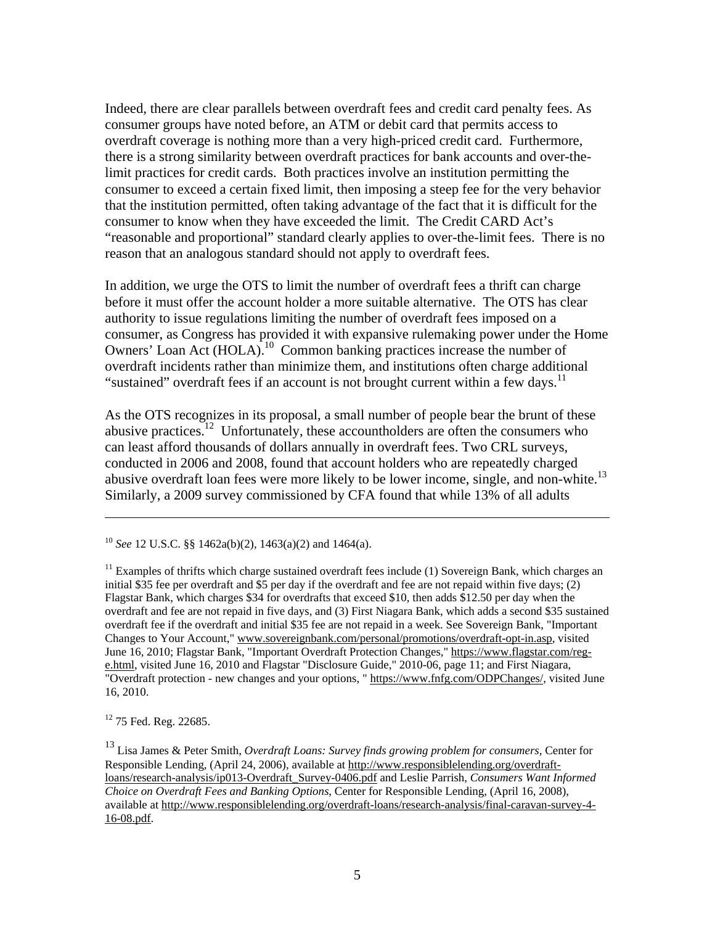Indeed, there are clear parallels between overdraft fees and credit card penalty fees. As consumer groups have noted before, an ATM or debit card that permits access to overdraft coverage is nothing more than a very high-priced credit card. Furthermore, there is a strong similarity between overdraft practices for bank accounts and over-thelimit practices for credit cards. Both practices involve an institution permitting the consumer to exceed a certain fixed limit, then imposing a steep fee for the very behavior that the institution permitted, often taking advantage of the fact that it is difficult for the consumer to know when they have exceeded the limit. The Credit CARD Act's "reasonable and proportional" standard clearly applies to over-the-limit fees. There is no reason that an analogous standard should not apply to overdraft fees.

In addition, we urge the OTS to limit the number of overdraft fees a thrift can charge before it must offer the account holder a more suitable alternative. The OTS has clear authority to issue regulations limiting the number of overdraft fees imposed on a consumer, as Congress has provided it with expansive rulemaking power under the Home Owners' Loan Act (HOLA).<sup>10</sup> Common banking practices increase the number of overdraft incidents rather than minimize them, and institutions often charge additional "sustained" overdraft fees if an account is not brought current within a few days.<sup>11</sup>

As the OTS recognizes in its proposal, a small number of people bear the brunt of these abusive practices.<sup>12</sup> Unfortunately, these accountholders are often the consumers who can least afford thousands of dollars annually in overdraft fees. Two CRL surveys, conducted in 2006 and 2008, found that account holders who are repeatedly charged abusive overdraft loan fees were more likely to be lower income, single, and non-white.<sup>13</sup> Similarly, a 2009 survey commissioned by CFA found that while 13% of all adults

<sup>12</sup> 75 Fed. Reg. 22685.

<u>.</u>

13 Lisa James & Peter Smith, *Overdraft Loans: Survey finds growing problem for consumers*, Center for Responsible Lending, (April 24, 2006), available at http://www.responsiblelending.org/overdraftloans/research-analysis/ip013-Overdraft\_Survey-0406.pdf and Leslie Parrish, *Consumers Want Informed Choice on Overdraft Fees and Banking Options*, Center for Responsible Lending, (April 16, 2008), available at http://www.responsiblelending.org/overdraft-loans/research-analysis/final-caravan-survey-4- 16-08.pdf.

<sup>10</sup> *See* 12 U.S.C. §§ 1462a(b)(2), 1463(a)(2) and 1464(a).

 $11$  Examples of thrifts which charge sustained overdraft fees include (1) Sovereign Bank, which charges an initial \$35 fee per overdraft and \$5 per day if the overdraft and fee are not repaid within five days; (2) Flagstar Bank, which charges \$34 for overdrafts that exceed \$10, then adds \$12.50 per day when the overdraft and fee are not repaid in five days, and (3) First Niagara Bank, which adds a second \$35 sustained overdraft fee if the overdraft and initial \$35 fee are not repaid in a week. See Sovereign Bank, "Important Changes to Your Account," www.sovereignbank.com/personal/promotions/overdraft-opt-in.asp, visited June 16, 2010; Flagstar Bank, "Important Overdraft Protection Changes," https://www.flagstar.com/rege.html, visited June 16, 2010 and Flagstar "Disclosure Guide," 2010-06, page 11; and First Niagara, "Overdraft protection - new changes and your options, " https://www.fnfg.com/ODPChanges/, visited June 16, 2010.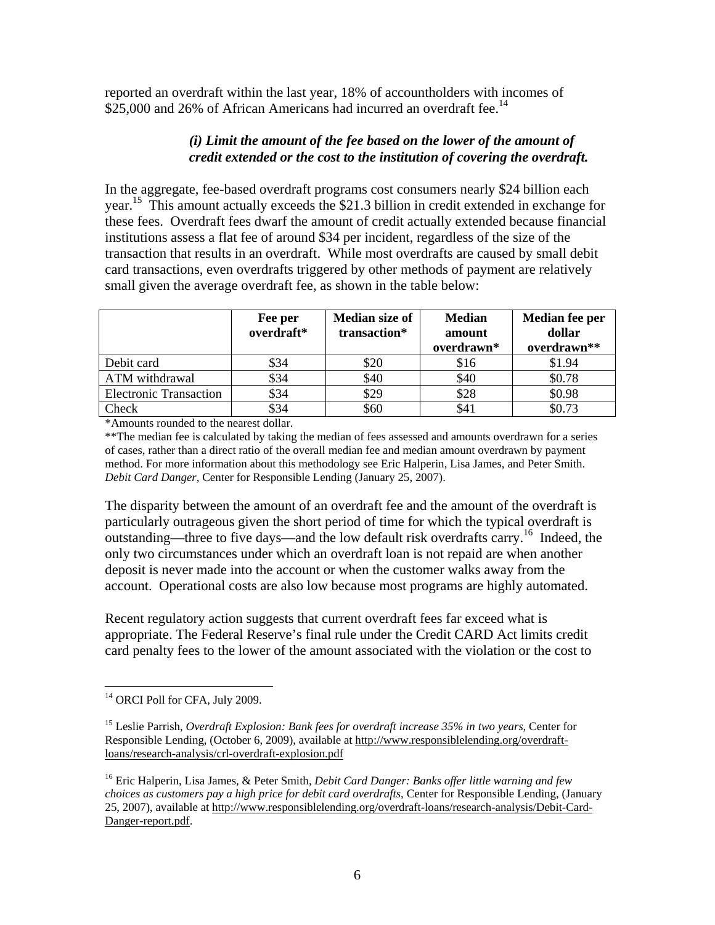reported an overdraft within the last year, 18% of accountholders with incomes of \$25,000 and 26% of African Americans had incurred an overdraft fee.<sup>14</sup>

### *(i) Limit the amount of the fee based on the lower of the amount of credit extended or the cost to the institution of covering the overdraft.*

In the aggregate, fee-based overdraft programs cost consumers nearly \$24 billion each year.<sup>15</sup> This amount actually exceeds the \$21.3 billion in credit extended in exchange for these fees. Overdraft fees dwarf the amount of credit actually extended because financial institutions assess a flat fee of around \$34 per incident, regardless of the size of the transaction that results in an overdraft. While most overdrafts are caused by small debit card transactions, even overdrafts triggered by other methods of payment are relatively small given the average overdraft fee, as shown in the table below:

|                               | Fee per<br>overdraft* | Median size of<br>transaction* | <b>Median</b><br>amount<br>overdrawn* | Median fee per<br>dollar<br>overdrawn** |
|-------------------------------|-----------------------|--------------------------------|---------------------------------------|-----------------------------------------|
| Debit card                    | \$34                  | \$20                           | \$16                                  | \$1.94                                  |
| ATM withdrawal                | \$34                  | \$40                           | \$40                                  | \$0.78                                  |
| <b>Electronic Transaction</b> | \$34                  | \$29                           | \$28                                  | \$0.98                                  |
| Check                         | \$34                  | \$60                           | \$4                                   | \$0.73                                  |

\*Amounts rounded to the nearest dollar.

\*\*The median fee is calculated by taking the median of fees assessed and amounts overdrawn for a series of cases, rather than a direct ratio of the overall median fee and median amount overdrawn by payment method. For more information about this methodology see Eric Halperin, Lisa James, and Peter Smith. *Debit Card Danger*, Center for Responsible Lending (January 25, 2007).

The disparity between the amount of an overdraft fee and the amount of the overdraft is particularly outrageous given the short period of time for which the typical overdraft is outstanding—three to five days—and the low default risk overdrafts carry.<sup>16</sup> Indeed, the only two circumstances under which an overdraft loan is not repaid are when another deposit is never made into the account or when the customer walks away from the account. Operational costs are also low because most programs are highly automated.

Recent regulatory action suggests that current overdraft fees far exceed what is appropriate. The Federal Reserve's final rule under the Credit CARD Act limits credit card penalty fees to the lower of the amount associated with the violation or the cost to

 $\overline{a}$ <sup>14</sup> ORCI Poll for CFA, July 2009.

<sup>15</sup> Leslie Parrish, *Overdraft Explosion: Bank fees for overdraft increase 35% in two years*, Center for Responsible Lending, (October 6, 2009), available at http://www.responsiblelending.org/overdraftloans/research-analysis/crl-overdraft-explosion.pdf

<sup>16</sup> Eric Halperin, Lisa James, & Peter Smith, *Debit Card Danger: Banks offer little warning and few choices as customers pay a high price for debit card overdrafts*, Center for Responsible Lending, (January 25, 2007), available at http://www.responsiblelending.org/overdraft-loans/research-analysis/Debit-Card-Danger-report.pdf.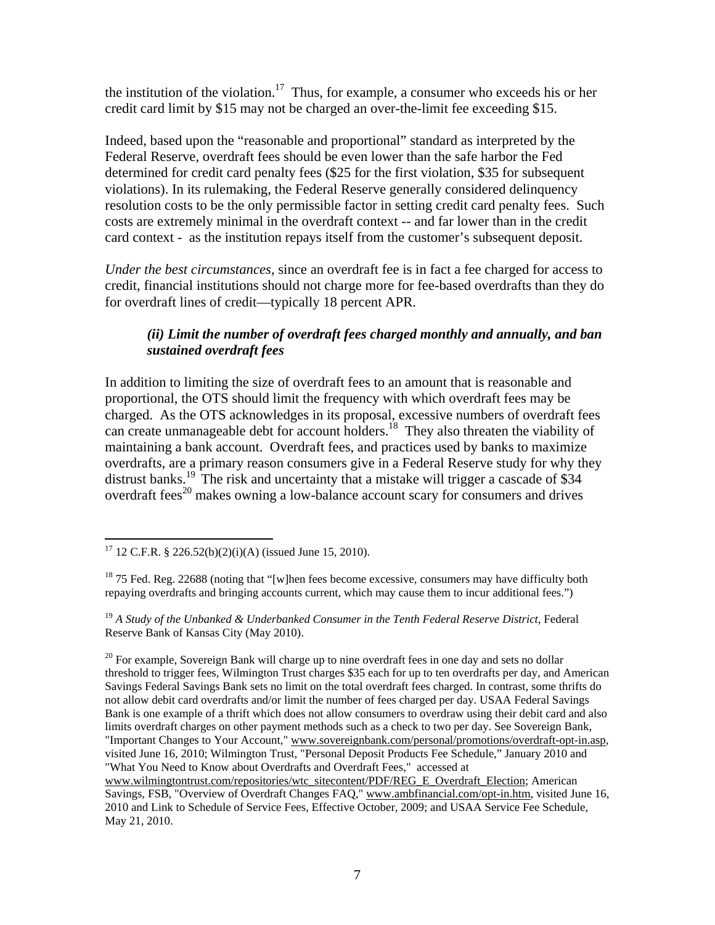the institution of the violation.<sup>17</sup> Thus, for example, a consumer who exceeds his or her credit card limit by \$15 may not be charged an over-the-limit fee exceeding \$15.

Indeed, based upon the "reasonable and proportional" standard as interpreted by the Federal Reserve, overdraft fees should be even lower than the safe harbor the Fed determined for credit card penalty fees (\$25 for the first violation, \$35 for subsequent violations). In its rulemaking, the Federal Reserve generally considered delinquency resolution costs to be the only permissible factor in setting credit card penalty fees. Such costs are extremely minimal in the overdraft context -- and far lower than in the credit card context - as the institution repays itself from the customer's subsequent deposit.

*Under the best circumstances*, since an overdraft fee is in fact a fee charged for access to credit, financial institutions should not charge more for fee-based overdrafts than they do for overdraft lines of credit—typically 18 percent APR.

# *(ii) Limit the number of overdraft fees charged monthly and annually, and ban sustained overdraft fees*

In addition to limiting the size of overdraft fees to an amount that is reasonable and proportional, the OTS should limit the frequency with which overdraft fees may be charged. As the OTS acknowledges in its proposal, excessive numbers of overdraft fees can create unmanageable debt for account holders.<sup>18</sup> They also threaten the viability of maintaining a bank account. Overdraft fees, and practices used by banks to maximize overdrafts, are a primary reason consumers give in a Federal Reserve study for why they distrust banks.<sup>19</sup> The risk and uncertainty that a mistake will trigger a cascade of \$34 overdraft fees<sup>20</sup> makes owning a low-balance account scary for consumers and drives

<sup>1</sup> <sup>17</sup> 12 C.F.R. § 226.52(b)(2)(i)(A) (issued June 15, 2010).

 $18$  75 Fed. Reg. 22688 (noting that "[w]hen fees become excessive, consumers may have difficulty both repaying overdrafts and bringing accounts current, which may cause them to incur additional fees.")

<sup>&</sup>lt;sup>19</sup> A Study of the Unbanked & Underbanked Consumer in the Tenth Federal Reserve District, Federal Reserve Bank of Kansas City (May 2010).

 $20$  For example, Sovereign Bank will charge up to nine overdraft fees in one day and sets no dollar threshold to trigger fees, Wilmington Trust charges \$35 each for up to ten overdrafts per day, and American Savings Federal Savings Bank sets no limit on the total overdraft fees charged. In contrast, some thrifts do not allow debit card overdrafts and/or limit the number of fees charged per day. USAA Federal Savings Bank is one example of a thrift which does not allow consumers to overdraw using their debit card and also limits overdraft charges on other payment methods such as a check to two per day. See Sovereign Bank, "Important Changes to Your Account," www.sovereignbank.com/personal/promotions/overdraft-opt-in.asp, visited June 16, 2010; Wilmington Trust, "Personal Deposit Products Fee Schedule," January 2010 and "What You Need to Know about Overdrafts and Overdraft Fees," accessed at

www.wilmingtontrust.com/repositories/wtc\_sitecontent/PDF/REG\_E\_Overdraft\_Election; American Savings, FSB, "Overview of Overdraft Changes FAQ," www.ambfinancial.com/opt-in.htm, visited June 16, 2010 and Link to Schedule of Service Fees, Effective October, 2009; and USAA Service Fee Schedule, May 21, 2010.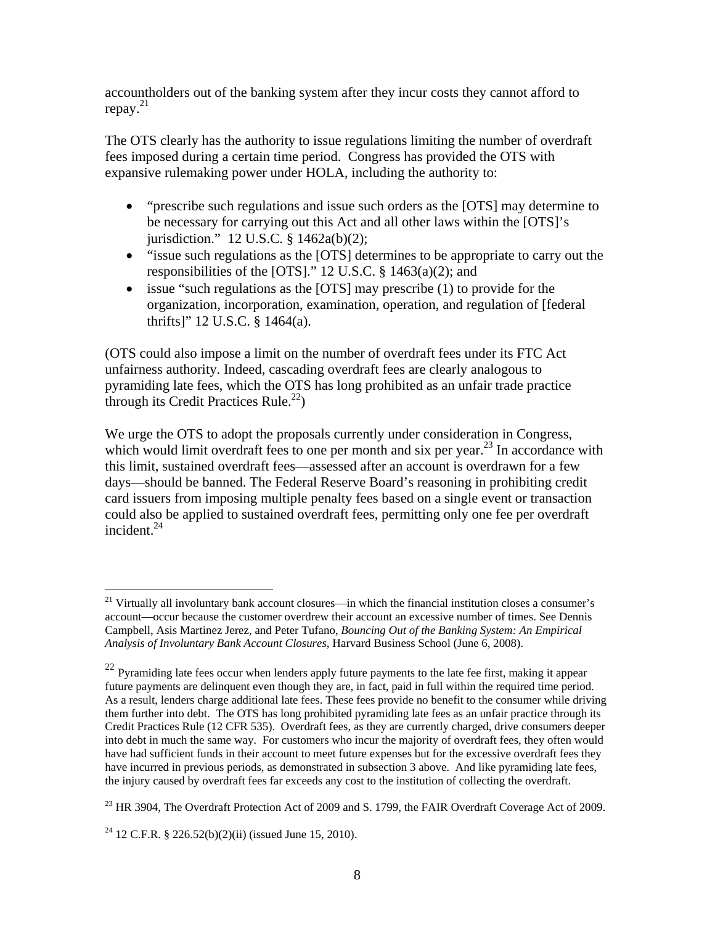accountholders out of the banking system after they incur costs they cannot afford to repay. 21

The OTS clearly has the authority to issue regulations limiting the number of overdraft fees imposed during a certain time period. Congress has provided the OTS with expansive rulemaking power under HOLA, including the authority to:

- "prescribe such regulations and issue such orders as the [OTS] may determine to be necessary for carrying out this Act and all other laws within the [OTS]'s jurisdiction." 12 U.S.C. § 1462a(b)(2);
- "issue such regulations as the [OTS] determines to be appropriate to carry out the responsibilities of the [OTS]." 12 U.S.C. § 1463(a)(2); and
- issue "such regulations as the [OTS] may prescribe (1) to provide for the organization, incorporation, examination, operation, and regulation of [federal thrifts]" 12 U.S.C. § 1464(a).

(OTS could also impose a limit on the number of overdraft fees under its FTC Act unfairness authority. Indeed, cascading overdraft fees are clearly analogous to pyramiding late fees, which the OTS has long prohibited as an unfair trade practice through its Credit Practices Rule.<sup>22</sup>)

We urge the OTS to adopt the proposals currently under consideration in Congress, which would limit overdraft fees to one per month and six per year.<sup>23</sup> In accordance with this limit, sustained overdraft fees—assessed after an account is overdrawn for a few days—should be banned. The Federal Reserve Board's reasoning in prohibiting credit card issuers from imposing multiple penalty fees based on a single event or transaction could also be applied to sustained overdraft fees, permitting only one fee per overdraft incident.24

 $21$  Virtually all involuntary bank account closures—in which the financial institution closes a consumer's account—occur because the customer overdrew their account an excessive number of times. See Dennis Campbell, Asis Martinez Jerez, and Peter Tufano, *Bouncing Out of the Banking System: An Empirical Analysis of Involuntary Bank Account Closures*, Harvard Business School (June 6, 2008).

 $22$  Pyramiding late fees occur when lenders apply future payments to the late fee first, making it appear future payments are delinquent even though they are, in fact, paid in full within the required time period. As a result, lenders charge additional late fees. These fees provide no benefit to the consumer while driving them further into debt. The OTS has long prohibited pyramiding late fees as an unfair practice through its Credit Practices Rule (12 CFR 535). Overdraft fees, as they are currently charged, drive consumers deeper into debt in much the same way. For customers who incur the majority of overdraft fees, they often would have had sufficient funds in their account to meet future expenses but for the excessive overdraft fees they have incurred in previous periods, as demonstrated in subsection 3 above. And like pyramiding late fees, the injury caused by overdraft fees far exceeds any cost to the institution of collecting the overdraft.

 $^{23}$  HR 3904, The Overdraft Protection Act of 2009 and S. 1799, the FAIR Overdraft Coverage Act of 2009.

<sup>&</sup>lt;sup>24</sup> 12 C.F.R. § 226.52(b)(2)(ii) (issued June 15, 2010).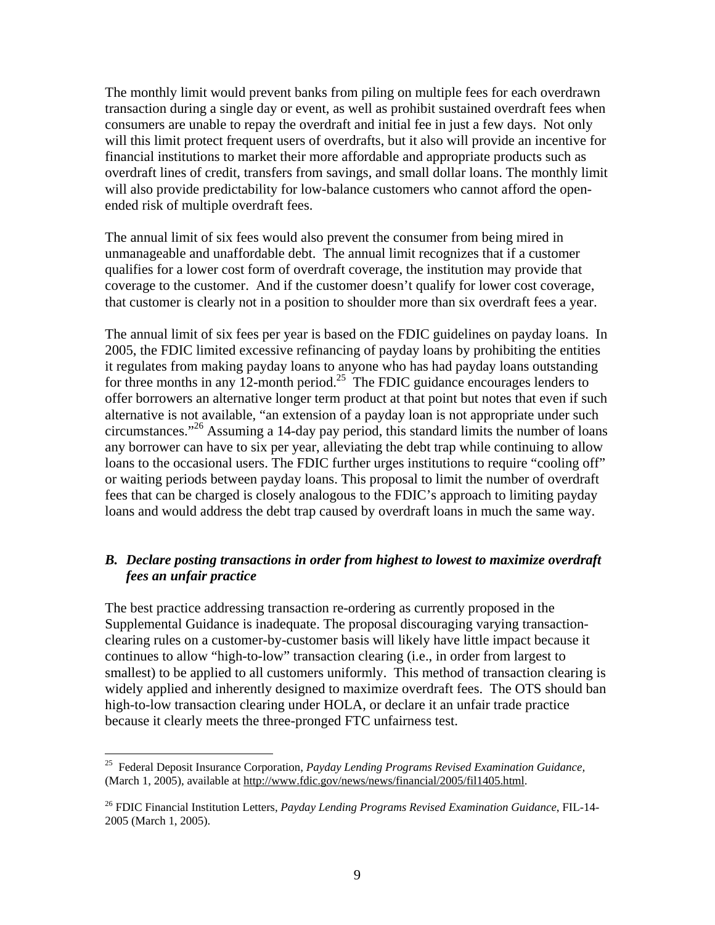The monthly limit would prevent banks from piling on multiple fees for each overdrawn transaction during a single day or event, as well as prohibit sustained overdraft fees when consumers are unable to repay the overdraft and initial fee in just a few days. Not only will this limit protect frequent users of overdrafts, but it also will provide an incentive for financial institutions to market their more affordable and appropriate products such as overdraft lines of credit, transfers from savings, and small dollar loans. The monthly limit will also provide predictability for low-balance customers who cannot afford the openended risk of multiple overdraft fees.

The annual limit of six fees would also prevent the consumer from being mired in unmanageable and unaffordable debt. The annual limit recognizes that if a customer qualifies for a lower cost form of overdraft coverage, the institution may provide that coverage to the customer. And if the customer doesn't qualify for lower cost coverage, that customer is clearly not in a position to shoulder more than six overdraft fees a year.

The annual limit of six fees per year is based on the FDIC guidelines on payday loans. In 2005, the FDIC limited excessive refinancing of payday loans by prohibiting the entities it regulates from making payday loans to anyone who has had payday loans outstanding for three months in any 12-month period.<sup>25</sup> The FDIC guidance encourages lenders to offer borrowers an alternative longer term product at that point but notes that even if such alternative is not available, "an extension of a payday loan is not appropriate under such circumstances."<sup>26</sup> Assuming a 14-day pay period, this standard limits the number of loans any borrower can have to six per year, alleviating the debt trap while continuing to allow loans to the occasional users. The FDIC further urges institutions to require "cooling off" or waiting periods between payday loans. This proposal to limit the number of overdraft fees that can be charged is closely analogous to the FDIC's approach to limiting payday loans and would address the debt trap caused by overdraft loans in much the same way.

## *B. Declare posting transactions in order from highest to lowest to maximize overdraft fees an unfair practice*

The best practice addressing transaction re-ordering as currently proposed in the Supplemental Guidance is inadequate. The proposal discouraging varying transactionclearing rules on a customer-by-customer basis will likely have little impact because it continues to allow "high-to-low" transaction clearing (i.e., in order from largest to smallest) to be applied to all customers uniformly. This method of transaction clearing is widely applied and inherently designed to maximize overdraft fees. The OTS should ban high-to-low transaction clearing under HOLA, or declare it an unfair trade practice because it clearly meets the three-pronged FTC unfairness test.

<sup>25</sup> Federal Deposit Insurance Corporation, *Payday Lending Programs Revised Examination Guidance,*  (March 1, 2005), available at http://www.fdic.gov/news/news/financial/2005/fil1405.html.

<sup>26</sup> FDIC Financial Institution Letters, *Payday Lending Programs Revised Examination Guidance*, FIL-14- 2005 (March 1, 2005).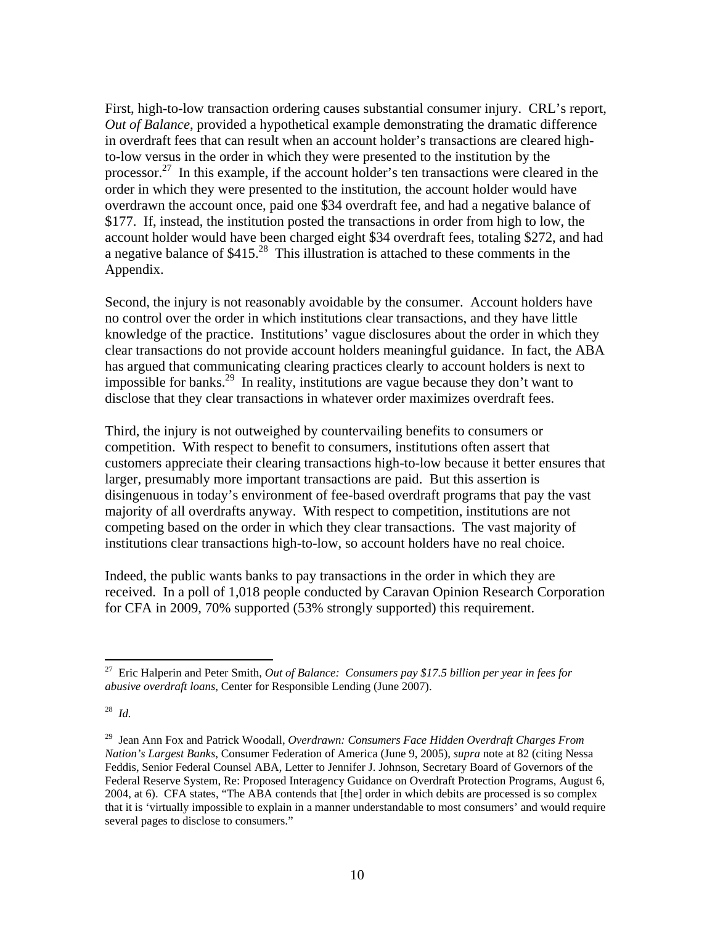First, high-to-low transaction ordering causes substantial consumer injury. CRL's report, *Out of Balance*, provided a hypothetical example demonstrating the dramatic difference in overdraft fees that can result when an account holder's transactions are cleared highto-low versus in the order in which they were presented to the institution by the processor.27 In this example, if the account holder's ten transactions were cleared in the order in which they were presented to the institution, the account holder would have overdrawn the account once, paid one \$34 overdraft fee, and had a negative balance of \$177. If, instead, the institution posted the transactions in order from high to low, the account holder would have been charged eight \$34 overdraft fees, totaling \$272, and had a negative balance of  $$415.<sup>28</sup>$  This illustration is attached to these comments in the Appendix.

Second, the injury is not reasonably avoidable by the consumer. Account holders have no control over the order in which institutions clear transactions, and they have little knowledge of the practice. Institutions' vague disclosures about the order in which they clear transactions do not provide account holders meaningful guidance. In fact, the ABA has argued that communicating clearing practices clearly to account holders is next to impossible for banks.<sup>29</sup> In reality, institutions are vague because they don't want to disclose that they clear transactions in whatever order maximizes overdraft fees.

Third, the injury is not outweighed by countervailing benefits to consumers or competition. With respect to benefit to consumers, institutions often assert that customers appreciate their clearing transactions high-to-low because it better ensures that larger, presumably more important transactions are paid. But this assertion is disingenuous in today's environment of fee-based overdraft programs that pay the vast majority of all overdrafts anyway. With respect to competition, institutions are not competing based on the order in which they clear transactions. The vast majority of institutions clear transactions high-to-low, so account holders have no real choice.

Indeed, the public wants banks to pay transactions in the order in which they are received. In a poll of 1,018 people conducted by Caravan Opinion Research Corporation for CFA in 2009, 70% supported (53% strongly supported) this requirement.

<sup>1</sup> 27 Eric Halperin and Peter Smith, *Out of Balance: Consumers pay \$17.5 billion per year in fees for abusive overdraft loans*, Center for Responsible Lending (June 2007).

<sup>28</sup> *Id.*

<sup>29</sup> Jean Ann Fox and Patrick Woodall, *Overdrawn: Consumers Face Hidden Overdraft Charges From Nation's Largest Banks*, Consumer Federation of America (June 9, 2005), *supra* note at 82 (citing Nessa Feddis, Senior Federal Counsel ABA, Letter to Jennifer J. Johnson, Secretary Board of Governors of the Federal Reserve System, Re: Proposed Interagency Guidance on Overdraft Protection Programs, August 6, 2004, at 6). CFA states, "The ABA contends that [the] order in which debits are processed is so complex that it is 'virtually impossible to explain in a manner understandable to most consumers' and would require several pages to disclose to consumers."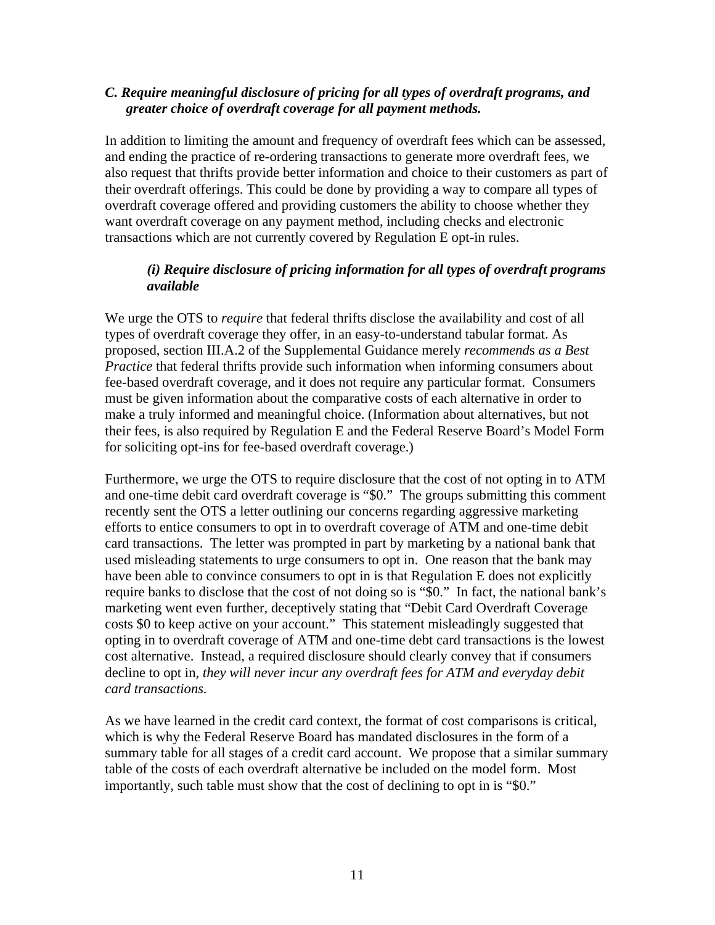## *C. Require meaningful disclosure of pricing for all types of overdraft programs, and greater choice of overdraft coverage for all payment methods.*

In addition to limiting the amount and frequency of overdraft fees which can be assessed, and ending the practice of re-ordering transactions to generate more overdraft fees, we also request that thrifts provide better information and choice to their customers as part of their overdraft offerings. This could be done by providing a way to compare all types of overdraft coverage offered and providing customers the ability to choose whether they want overdraft coverage on any payment method, including checks and electronic transactions which are not currently covered by Regulation E opt-in rules.

# *(i) Require disclosure of pricing information for all types of overdraft programs available*

We urge the OTS to *require* that federal thrifts disclose the availability and cost of all types of overdraft coverage they offer, in an easy-to-understand tabular format. As proposed, section III.A.2 of the Supplemental Guidance merely *recommend*s *as a Best Practice* that federal thrifts provide such information when informing consumers about fee-based overdraft coverage, and it does not require any particular format. Consumers must be given information about the comparative costs of each alternative in order to make a truly informed and meaningful choice. (Information about alternatives, but not their fees, is also required by Regulation E and the Federal Reserve Board's Model Form for soliciting opt-ins for fee-based overdraft coverage.)

Furthermore, we urge the OTS to require disclosure that the cost of not opting in to ATM and one-time debit card overdraft coverage is "\$0." The groups submitting this comment recently sent the OTS a letter outlining our concerns regarding aggressive marketing efforts to entice consumers to opt in to overdraft coverage of ATM and one-time debit card transactions. The letter was prompted in part by marketing by a national bank that used misleading statements to urge consumers to opt in. One reason that the bank may have been able to convince consumers to opt in is that Regulation E does not explicitly require banks to disclose that the cost of not doing so is "\$0." In fact, the national bank's marketing went even further, deceptively stating that "Debit Card Overdraft Coverage costs \$0 to keep active on your account." This statement misleadingly suggested that opting in to overdraft coverage of ATM and one-time debt card transactions is the lowest cost alternative. Instead, a required disclosure should clearly convey that if consumers decline to opt in*, they will never incur any overdraft fees for ATM and everyday debit card transactions.* 

As we have learned in the credit card context, the format of cost comparisons is critical, which is why the Federal Reserve Board has mandated disclosures in the form of a summary table for all stages of a credit card account. We propose that a similar summary table of the costs of each overdraft alternative be included on the model form. Most importantly, such table must show that the cost of declining to opt in is "\$0."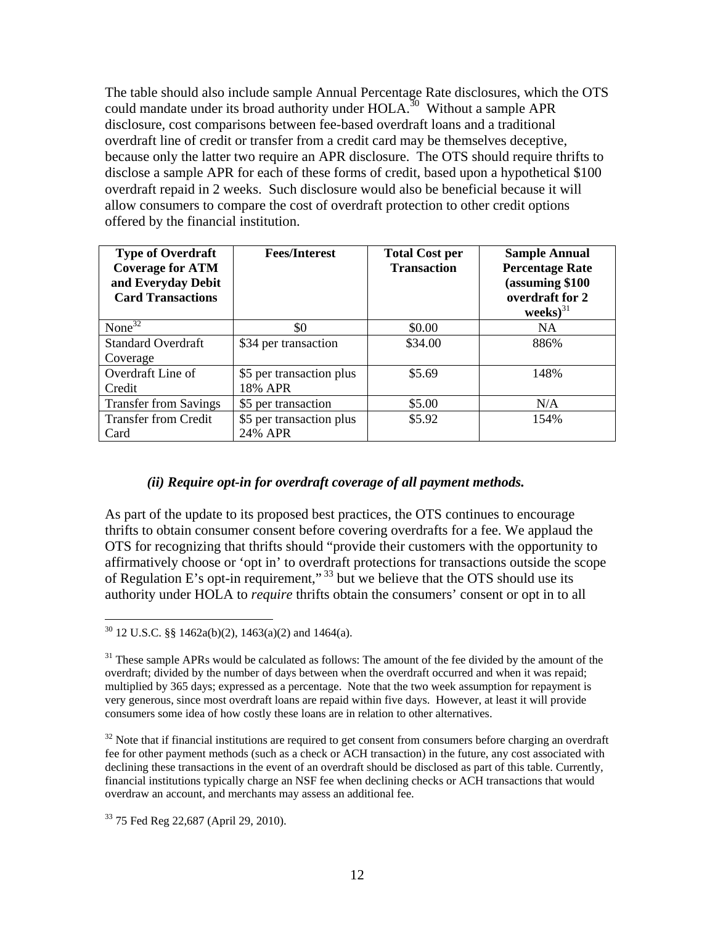The table should also include sample Annual Percentage Rate disclosures, which the OTS could mandate under its broad authority under  $HOLA$ <sup>30</sup> Without a sample APR disclosure, cost comparisons between fee-based overdraft loans and a traditional overdraft line of credit or transfer from a credit card may be themselves deceptive, because only the latter two require an APR disclosure. The OTS should require thrifts to disclose a sample APR for each of these forms of credit, based upon a hypothetical \$100 overdraft repaid in 2 weeks. Such disclosure would also be beneficial because it will allow consumers to compare the cost of overdraft protection to other credit options offered by the financial institution.

| <b>Type of Overdraft</b><br><b>Coverage for ATM</b><br>and Everyday Debit<br><b>Card Transactions</b> | <b>Fees/Interest</b>     | <b>Total Cost per</b><br><b>Transaction</b> | <b>Sample Annual</b><br><b>Percentage Rate</b><br>(assuming \$100<br>overdraft for 2<br>$\text{weeks}$ ) <sup>31</sup> |
|-------------------------------------------------------------------------------------------------------|--------------------------|---------------------------------------------|------------------------------------------------------------------------------------------------------------------------|
| None $32$                                                                                             | \$0                      | \$0.00                                      | NA.                                                                                                                    |
| <b>Standard Overdraft</b>                                                                             | \$34 per transaction     | \$34.00                                     | 886%                                                                                                                   |
| Coverage                                                                                              |                          |                                             |                                                                                                                        |
| Overdraft Line of                                                                                     | \$5 per transaction plus | \$5.69                                      | 148%                                                                                                                   |
| Credit                                                                                                | 18% APR                  |                                             |                                                                                                                        |
| <b>Transfer from Savings</b>                                                                          | \$5 per transaction      | \$5.00                                      | N/A                                                                                                                    |
| <b>Transfer from Credit</b>                                                                           | \$5 per transaction plus | \$5.92                                      | 154%                                                                                                                   |
| Card                                                                                                  | 24% APR                  |                                             |                                                                                                                        |

### *(ii) Require opt-in for overdraft coverage of all payment methods.*

As part of the update to its proposed best practices, the OTS continues to encourage thrifts to obtain consumer consent before covering overdrafts for a fee. We applaud the OTS for recognizing that thrifts should "provide their customers with the opportunity to affirmatively choose or 'opt in' to overdraft protections for transactions outside the scope of Regulation E's opt-in requirement," 33 but we believe that the OTS should use its authority under HOLA to *require* thrifts obtain the consumers' consent or opt in to all

 $30$  12 U.S.C. §§ 1462a(b)(2), 1463(a)(2) and 1464(a).

<sup>&</sup>lt;sup>31</sup> These sample APRs would be calculated as follows: The amount of the fee divided by the amount of the overdraft; divided by the number of days between when the overdraft occurred and when it was repaid; multiplied by 365 days; expressed as a percentage. Note that the two week assumption for repayment is very generous, since most overdraft loans are repaid within five days. However, at least it will provide consumers some idea of how costly these loans are in relation to other alternatives.

 $32$  Note that if financial institutions are required to get consent from consumers before charging an overdraft fee for other payment methods (such as a check or ACH transaction) in the future, any cost associated with declining these transactions in the event of an overdraft should be disclosed as part of this table. Currently, financial institutions typically charge an NSF fee when declining checks or ACH transactions that would overdraw an account, and merchants may assess an additional fee.

<sup>&</sup>lt;sup>33</sup> 75 Fed Reg 22,687 (April 29, 2010).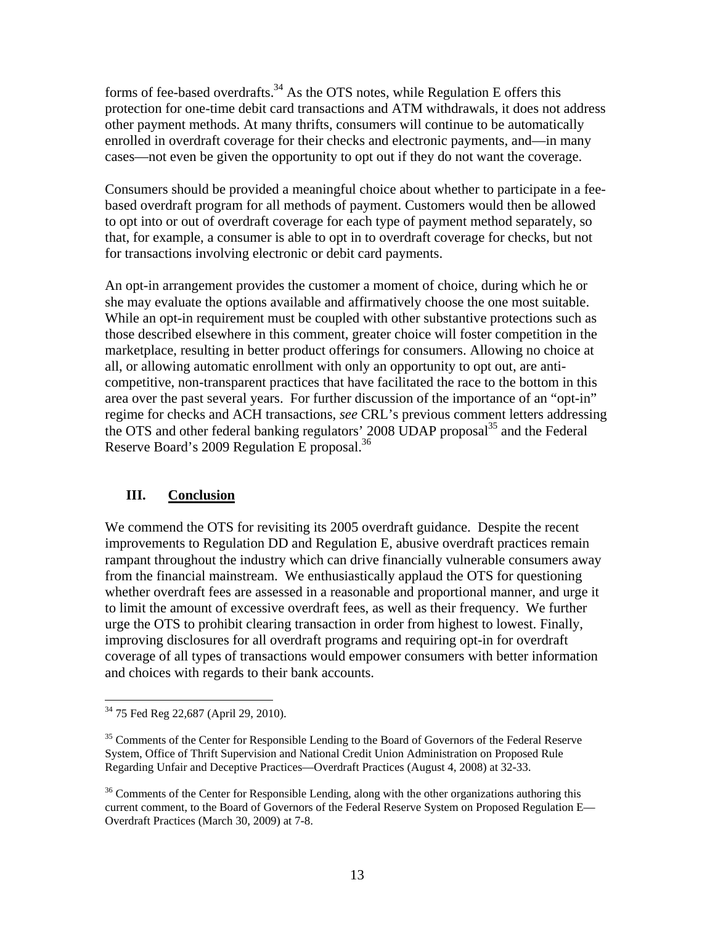forms of fee-based overdrafts.<sup>34</sup> As the OTS notes, while Regulation E offers this protection for one-time debit card transactions and ATM withdrawals, it does not address other payment methods. At many thrifts, consumers will continue to be automatically enrolled in overdraft coverage for their checks and electronic payments, and—in many cases—not even be given the opportunity to opt out if they do not want the coverage.

Consumers should be provided a meaningful choice about whether to participate in a feebased overdraft program for all methods of payment. Customers would then be allowed to opt into or out of overdraft coverage for each type of payment method separately, so that, for example, a consumer is able to opt in to overdraft coverage for checks, but not for transactions involving electronic or debit card payments.

An opt-in arrangement provides the customer a moment of choice, during which he or she may evaluate the options available and affirmatively choose the one most suitable. While an opt-in requirement must be coupled with other substantive protections such as those described elsewhere in this comment, greater choice will foster competition in the marketplace, resulting in better product offerings for consumers. Allowing no choice at all, or allowing automatic enrollment with only an opportunity to opt out, are anticompetitive, non-transparent practices that have facilitated the race to the bottom in this area over the past several years. For further discussion of the importance of an "opt-in" regime for checks and ACH transactions, *see* CRL's previous comment letters addressing the OTS and other federal banking regulators' 2008 UDAP proposal<sup>35</sup> and the Federal Reserve Board's 2009 Regulation E proposal.36

## **III. Conclusion**

We commend the OTS for revisiting its 2005 overdraft guidance. Despite the recent improvements to Regulation DD and Regulation E, abusive overdraft practices remain rampant throughout the industry which can drive financially vulnerable consumers away from the financial mainstream. We enthusiastically applaud the OTS for questioning whether overdraft fees are assessed in a reasonable and proportional manner, and urge it to limit the amount of excessive overdraft fees, as well as their frequency. We further urge the OTS to prohibit clearing transaction in order from highest to lowest. Finally, improving disclosures for all overdraft programs and requiring opt-in for overdraft coverage of all types of transactions would empower consumers with better information and choices with regards to their bank accounts.

 $\overline{a}$ <sup>34</sup> 75 Fed Reg 22,687 (April 29, 2010).

<sup>&</sup>lt;sup>35</sup> Comments of the Center for Responsible Lending to the Board of Governors of the Federal Reserve System, Office of Thrift Supervision and National Credit Union Administration on Proposed Rule Regarding Unfair and Deceptive Practices—Overdraft Practices (August 4, 2008) at 32-33.

<sup>&</sup>lt;sup>36</sup> Comments of the Center for Responsible Lending, along with the other organizations authoring this current comment, to the Board of Governors of the Federal Reserve System on Proposed Regulation E— Overdraft Practices (March 30, 2009) at 7-8.